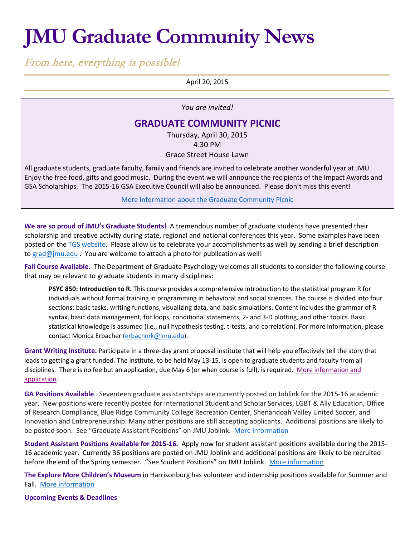## **JMU Graduate Community News**

From here, everything is possible!

April 20, 2015

*You are invited!*

## **GRADUATE COMMUNITY PICNIC**

Thursday, April 30, 2015 4:30 PM Grace Street House Lawn

All graduate students, graduate faculty, family and friends are invited to celebrate another wonderful year at JMU. Enjoy the free food, gifts and good music. During the event we will announce the recipients of the Impact Awards and GSA Scholarships. The 2015-16 GSA Executive Council will also be announced. Please don't miss this event!

[More Information about the Graduate Community Picnic](http://www.jmu.edu/grad/happenings/Community-Picnic.shtml)

**We are so proud of JMU's Graduate Students!** A tremendous number of graduate students have presented their scholarship and creative activity during state, regional and national conferences this year. Some examples have been posted on the [TGS website.](http://www.jmu.edu/grad/about/graduate-student-accomplishments.shtml) Please allow us to celebrate your accomplishments as well by sending a brief description to [grad@jmu.edu](mailto:grad@jmu.edu) . You are welcome to attach a photo for publication as well!

**Fall Course Available.** The Department of Graduate Psychology welcomes all students to consider the following course that may be relevant to graduate students in many disciplines:

**PSYC 850: Introduction to R.** This course provides a comprehensive introduction to the statistical program R for individuals without formal training in programming in behavioral and social sciences. The course is divided into four sections: basic tasks, writing functions, visualizing data, and basic simulations. Content includes the grammar of R syntax, basic data management, for loops, conditional statements, 2- and 3-D plotting, and other topics. Basic statistical knowledge is assumed (i.e., null hypothesis testing, t-tests, and correlation). For more information, please contact Monica Erbacher [\(erbachmk@jmu.edu\)](mailto:erbachmk@jmu.edu).

**Grant Writing Institute.** Participate in a three-day grant proposal institute that will help you effectively tell the story that leads to getting a grant funded. The institute, to be held May 13-15, is open to graduate students and faculty from all disciplines. There is no fee but an application, due May 6 (or when course is full), is required. [More information and](http://www.jmu.edu/events/cfi/2015/05/13-grant-writing-institute.shtml)  [application.](http://www.jmu.edu/events/cfi/2015/05/13-grant-writing-institute.shtml)

**GA Positions Available**. Seventeen graduate assistantships are currently posted on Joblink for the 2015-16 academic year. New positions were recently posted for International Student and Scholar Services, LGBT & Ally Education, Office of Research Compliance, Blue Ridge Community College Recreation Center, Shenandoah Valley United Soccer, and Innovation and Entrepreneurship. Many other positions are still accepting applicants. Additional positions are likely to be posted soon. See "Graduate Assistant Positions" on JMU Joblink. [More information](https://joblink.jmu.edu/)

**Student Assistant Positions Available for 2015-16.** Apply now for student assistant positions available during the 2015- 16 academic year. Currently 36 positions are posted on JMU Joblink and additional positions are likely to be recruited before the end of the Spring semester. "See Student Positions" on JMU Joblink. [More information](https://joblink.jmu.edu/)

**The Explore More Children's Museum** in Harrisonburg has volunteer and internship positions available for Summer and Fall. [More information](http://www.iexploremore.com/SupportUs/Volunteers/tabid/72/Default.aspx)

**Upcoming Events & Deadlines**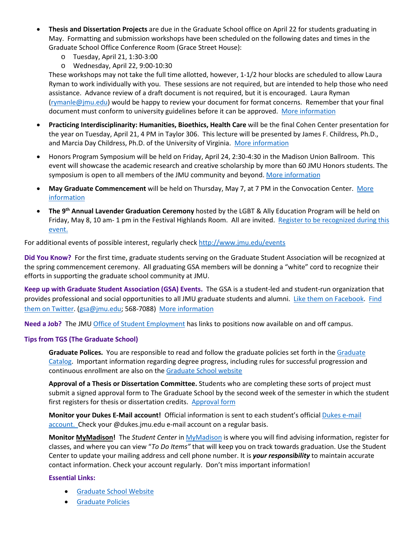- **Thesis and Dissertation Projects** are due in the Graduate School office on April 22 for students graduating in May. Formatting and submission workshops have been scheduled on the following dates and times in the Graduate School Office Conference Room (Grace Street House):
	- o Tuesday, April 21, 1:30-3:00
	- o Wednesday, April 22, 9:00-10:30

These workshops may not take the full time allotted, however, 1-1/2 hour blocks are scheduled to allow Laura Ryman to work individually with you. These sessions are not required, but are intended to help those who need assistance. Advance review of a draft document is not required, but it is encouraged. Laura Ryman [\(rymanle@jmu.edu\)](mailto:rymanle@jmu.edu) would be happy to review your document for format concerns. Remember that your final document must conform to university guidelines before it can be approved. [More information](http://www.jmu.edu/grad/current-students/thesis-dissertation/information.shtml)

- **Practicing Interdisciplinarity: Humanities, Bioethics, Health Care** will be the final Cohen Center presentation for the year on Tuesday, April 21, 4 PM in Taylor 306. This lecture will be presented by James F. Childress, Ph.D., and Marcia Day Childress, Ph.D. of the University of Virginia. [More information](http://www.jmu.edu/events/cohencenter/2015/04/21-lecture-james-childress-and-marcia-childress-taylor-306.shtml)
- Honors Program Symposium will be held on Friday, April 24, 2:30-4:30 in the Madison Union Ballroom. This event will showcase the academic research and creative scholarship by more than 60 JMU Honors students. The symposium is open to all members of the JMU community and beyond. [More information](http://www.jmu.edu/events/honorsprog/2015/04/24-honors-symposium.shtml)
- **May Graduate Commencement** will be held on Thursday, May 7, at 7 PM in the Convocation Center. [More](http://www.jmu.edu/commencement/)  [information](http://www.jmu.edu/commencement/)
- **The 9th Annual Lavender Graduation Ceremony** hosted by the LGBT & Ally Education Program will be held on Friday, May 8, 10 am- 1 pm in the Festival Highlands Room. All are invited. Register to be recognized during this [event.](http://www.jmu.edu/lgbta/services.shtml)

For additional events of possible interest, regularly check<http://www.jmu.edu/events>

**Did You Know?** For the first time, graduate students serving on the Graduate Student Association will be recognized at the spring commencement ceremony. All graduating GSA members will be donning a "white" cord to recognize their efforts in supporting the graduate school community at JMU.

**Keep up with Graduate Student Association (GSA) Events.** The GSA is a student-led and student-run organization that provides professional and social opportunities to all JMU graduate students and alumni. [Like them on Facebook.](https://www.facebook.com/JMUGSA?fref=ts) [Find](https://twitter.com/JMUGSA)  [them on Twitter.](https://twitter.com/JMUGSA) [\(gsa@jmu.edu;](mailto:gsa@jmu.edu) 568-7088) [More information](http://www.jmu.edu/grad/gsa/index.shtml)

**Need a Job?** The JM[U Office of Student Employment](http://www.jmu.edu/stuemploy/) has links to positions now available on and off campus.

## **Tips from TGS (The Graduate School)**

**Graduate Polices.** You are responsible to read and follow the graduate policies set forth in th[e Graduate](http://jmu.edu/catalog)  [Catalog.](http://jmu.edu/catalog) Important information regarding degree progress, including rules for successful progression and continuous enrollment are also on th[e Graduate School website](http://www.jmu.edu/grad/current-students/degree-progress/beginning.shtml)

**Approval of a Thesis or Dissertation Committee.** Students who are completing these sorts of project must submit a signed approval form to The Graduate School by the second week of the semester in which the student first registers for thesis or dissertation credits. [Approval form](http://www.jmu.edu/grad/_files/CommitteeApprovalForm2014-15.pdf)

**Monitor your Dukes E-Mail account!** Official information is sent to each student's officia[l Dukes e-mail](http://www.jmu.edu/computing/helpdesk/selfhelp/DukesEmail.shtml)  [account.](http://www.jmu.edu/computing/helpdesk/selfhelp/DukesEmail.shtml) Check your @dukes.jmu.edu e-mail account on a regular basis.

**Monitor [MyMadison!](http://mymadison.jmu.edu/)** The *Student Center* in [MyMadison](http://mymadison.jmu.edu/) is where you will find advising information, register for classes, and where you can view "*To Do Items"* that will keep you on track towards graduation. Use the Student Center to update your mailing address and cell phone number. It is *your responsibility* to maintain accurate contact information. Check your account regularly. Don't miss important information!

## **Essential Links:**

- [Graduate School Website](http://www.jmu.edu/grad)
- [Graduate Policies](http://www.jmu.edu/catalog/index.shtml)